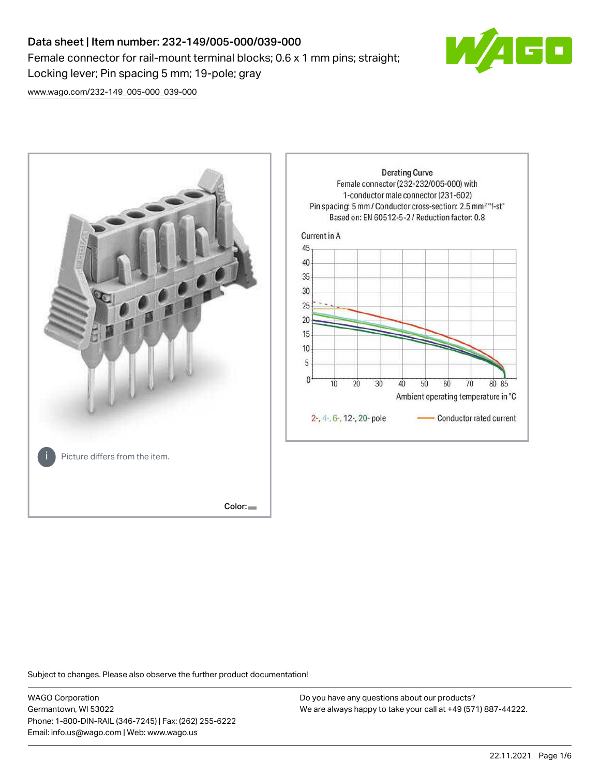# Data sheet | Item number: 232-149/005-000/039-000 Female connector for rail-mount terminal blocks; 0.6 x 1 mm pins; straight; Locking lever; Pin spacing 5 mm; 19-pole; gray



[www.wago.com/232-149\\_005-000\\_039-000](http://www.wago.com/232-149_005-000_039-000)



Subject to changes. Please also observe the further product documentation!

WAGO Corporation Germantown, WI 53022 Phone: 1-800-DIN-RAIL (346-7245) | Fax: (262) 255-6222 Email: info.us@wago.com | Web: www.wago.us

Do you have any questions about our products? We are always happy to take your call at +49 (571) 887-44222.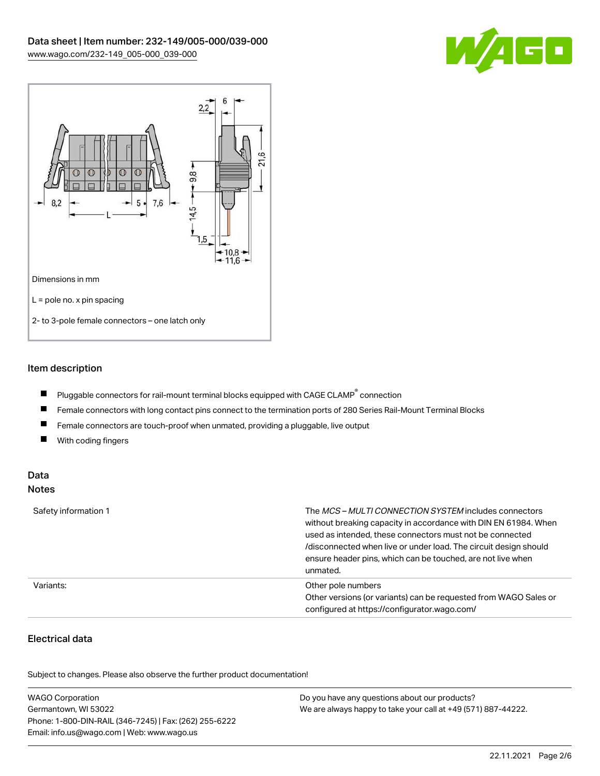



## Item description

- $\blacksquare$ Pluggable connectors for rail-mount terminal blocks equipped with CAGE CLAMP $^{\circ}$  connection
- $\blacksquare$ Female connectors with long contact pins connect to the termination ports of 280 Series Rail-Mount Terminal Blocks
- $\blacksquare$ Female connectors are touch-proof when unmated, providing a pluggable, live output
- $\blacksquare$ With coding fingers

#### Data Notes

| Safety information 1 | The <i>MCS – MULTI CONNECTION SYSTEM</i> includes connectors<br>without breaking capacity in accordance with DIN EN 61984. When<br>used as intended, these connectors must not be connected<br>/disconnected when live or under load. The circuit design should<br>ensure header pins, which can be touched, are not live when<br>unmated. |
|----------------------|--------------------------------------------------------------------------------------------------------------------------------------------------------------------------------------------------------------------------------------------------------------------------------------------------------------------------------------------|
| Variants:            | Other pole numbers<br>Other versions (or variants) can be requested from WAGO Sales or<br>configured at https://configurator.wago.com/                                                                                                                                                                                                     |

# Electrical data

.<br>Subject to changes. Please also observe the further product documentation!

| <b>WAGO Corporation</b>                                | Do you have any questions about our products?                 |
|--------------------------------------------------------|---------------------------------------------------------------|
| Germantown, WI 53022                                   | We are always happy to take your call at +49 (571) 887-44222. |
| Phone: 1-800-DIN-RAIL (346-7245)   Fax: (262) 255-6222 |                                                               |
| Email: info.us@wago.com   Web: www.wago.us             |                                                               |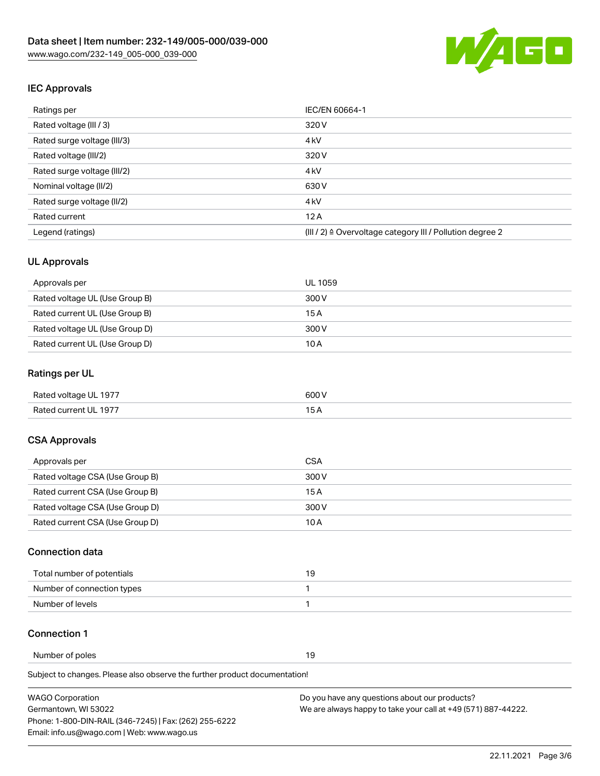

## IEC Approvals

| Ratings per                 | IEC/EN 60664-1                                                       |  |
|-----------------------------|----------------------------------------------------------------------|--|
| Rated voltage (III / 3)     | 320 V                                                                |  |
| Rated surge voltage (III/3) | 4 <sub>k</sub> V                                                     |  |
| Rated voltage (III/2)       | 320 V                                                                |  |
| Rated surge voltage (III/2) | 4 <sub>k</sub> V                                                     |  |
| Nominal voltage (II/2)      | 630 V                                                                |  |
| Rated surge voltage (II/2)  | 4 <sub>k</sub> V                                                     |  |
| Rated current               | 12A                                                                  |  |
| Legend (ratings)            | (III / 2) $\triangleq$ Overvoltage category III / Pollution degree 2 |  |

## UL Approvals

| Approvals per                  | UL 1059 |
|--------------------------------|---------|
| Rated voltage UL (Use Group B) | 300 V   |
| Rated current UL (Use Group B) | 15 A    |
| Rated voltage UL (Use Group D) | 300 V   |
| Rated current UL (Use Group D) | 10 A    |

## Ratings per UL

| Rated voltage UL 1977 | 600 V |
|-----------------------|-------|
| Rated current UL 1977 |       |

## CSA Approvals

| Approvals per                   | CSA   |
|---------------------------------|-------|
| Rated voltage CSA (Use Group B) | 300 V |
| Rated current CSA (Use Group B) | 15 A  |
| Rated voltage CSA (Use Group D) | 300 V |
| Rated current CSA (Use Group D) | 10 A  |

#### Connection data

| Total number of potentials |  |
|----------------------------|--|
| Number of connection types |  |
| Number of levels           |  |

#### Connection 1

Number of poles 19

Subject to changes. Please also observe the further product documentation!

| <b>WAGO Corporation</b>                                | Do you have any questions about our products?                 |
|--------------------------------------------------------|---------------------------------------------------------------|
| Germantown, WI 53022                                   | We are always happy to take your call at +49 (571) 887-44222. |
| Phone: 1-800-DIN-RAIL (346-7245)   Fax: (262) 255-6222 |                                                               |
| Email: info.us@wago.com   Web: www.wago.us             |                                                               |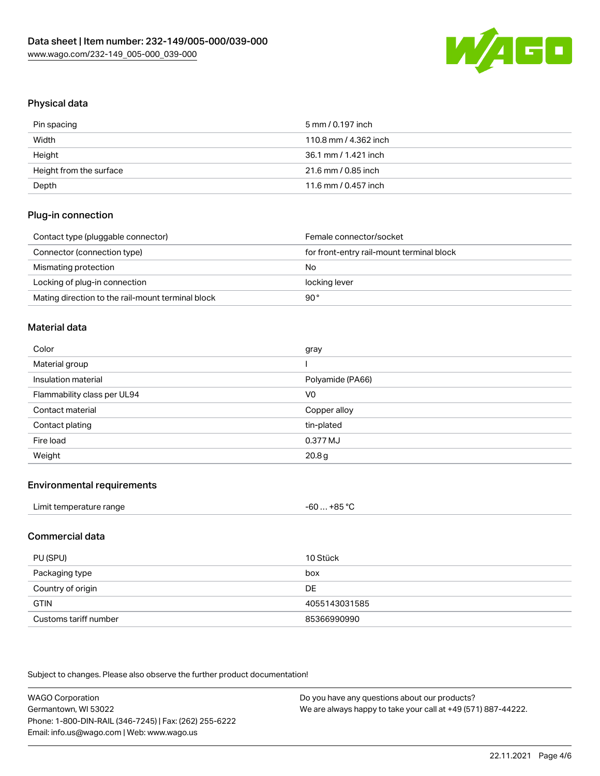

# Physical data

| Pin spacing             | 5 mm / 0.197 inch     |
|-------------------------|-----------------------|
| Width                   | 110.8 mm / 4.362 inch |
| Height                  | 36.1 mm / 1.421 inch  |
| Height from the surface | 21.6 mm / 0.85 inch   |
| Depth                   | 11.6 mm / 0.457 inch  |

## Plug-in connection

| Contact type (pluggable connector)                | Female connector/socket                   |
|---------------------------------------------------|-------------------------------------------|
| Connector (connection type)                       | for front-entry rail-mount terminal block |
| Mismating protection                              | No                                        |
| Locking of plug-in connection                     | locking lever                             |
| Mating direction to the rail-mount terminal block | 90°                                       |

#### Material data

| Color                       | gray              |
|-----------------------------|-------------------|
| Material group              |                   |
| Insulation material         | Polyamide (PA66)  |
| Flammability class per UL94 | V <sub>0</sub>    |
| Contact material            | Copper alloy      |
| Contact plating             | tin-plated        |
| Fire load                   | 0.377 MJ          |
| Weight                      | 20.8 <sub>g</sub> |

#### Environmental requirements

| Limit temperature range | $-60+85 °C$ |  |
|-------------------------|-------------|--|
|-------------------------|-------------|--|

## Commercial data

| PU (SPU)              | 10 Stück      |
|-----------------------|---------------|
| Packaging type        | box           |
| Country of origin     | DE            |
| <b>GTIN</b>           | 4055143031585 |
| Customs tariff number | 85366990990   |

Subject to changes. Please also observe the further product documentation!

| <b>WAGO Corporation</b>                                | Do you have any questions about our products?                 |
|--------------------------------------------------------|---------------------------------------------------------------|
| Germantown, WI 53022                                   | We are always happy to take your call at +49 (571) 887-44222. |
| Phone: 1-800-DIN-RAIL (346-7245)   Fax: (262) 255-6222 |                                                               |
| Email: info.us@wago.com   Web: www.wago.us             |                                                               |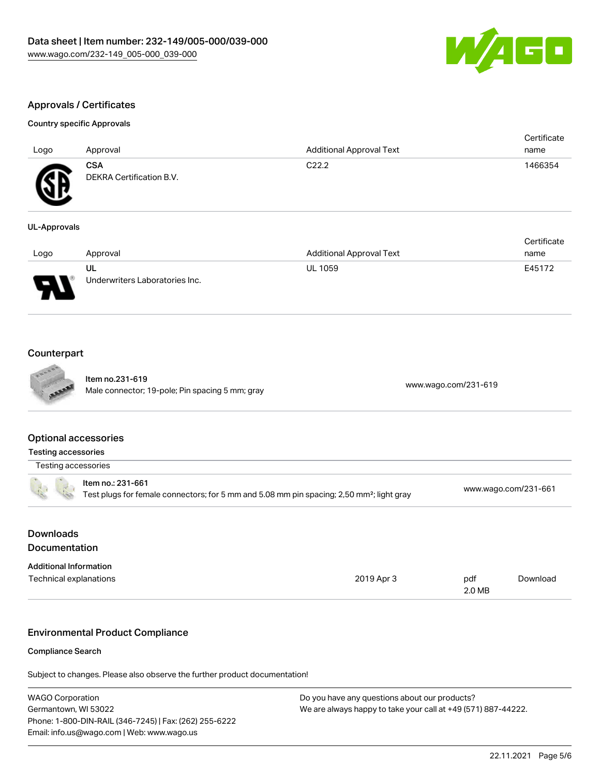

## Approvals / Certificates

## Country specific Approvals

| Logo         | Approval                               | <b>Additional Approval Text</b> | Certificate<br>name |
|--------------|----------------------------------------|---------------------------------|---------------------|
| Œ            | <b>CSA</b><br>DEKRA Certification B.V. | C <sub>22.2</sub>               | 1466354             |
| UL-Approvals |                                        |                                 |                     |
| Logo.        | Annroval                               | tveT levonnal Annroval Text     | Certificate<br>name |

| Logo | Approval                             | <b>Additional Approval Text</b> | name   |
|------|--------------------------------------|---------------------------------|--------|
| J    | UL<br>Underwriters Laboratories Inc. | <b>UL 1059</b>                  | E45172 |

## **Counterpart**

|                                                                                                                            | Item no.231-619<br>Male connector; 19-pole; Pin spacing 5 mm; gray         |                      | www.wago.com/231-619 |          |
|----------------------------------------------------------------------------------------------------------------------------|----------------------------------------------------------------------------|----------------------|----------------------|----------|
| <b>Optional accessories</b>                                                                                                |                                                                            |                      |                      |          |
| Testing accessories                                                                                                        |                                                                            |                      |                      |          |
| Testing accessories                                                                                                        |                                                                            |                      |                      |          |
| Item no.: 231-661<br>Test plugs for female connectors; for 5 mm and 5.08 mm pin spacing; 2,50 mm <sup>2</sup> ; light gray |                                                                            | www.wago.com/231-661 |                      |          |
| <b>Downloads</b>                                                                                                           |                                                                            |                      |                      |          |
| <b>Documentation</b>                                                                                                       |                                                                            |                      |                      |          |
| <b>Additional Information</b>                                                                                              |                                                                            |                      |                      |          |
| Technical explanations                                                                                                     |                                                                            | 2019 Apr 3           | pdf<br>2.0 MB        | Download |
|                                                                                                                            | <b>Environmental Product Compliance</b>                                    |                      |                      |          |
| <b>Compliance Search</b>                                                                                                   |                                                                            |                      |                      |          |
|                                                                                                                            | Subject to changes. Please also observe the further product documentation! |                      |                      |          |

| <b>WAGO Corporation</b>                                | Do you have any questions about our products?                 |
|--------------------------------------------------------|---------------------------------------------------------------|
| Germantown, WI 53022                                   | We are always happy to take your call at +49 (571) 887-44222. |
| Phone: 1-800-DIN-RAIL (346-7245)   Fax: (262) 255-6222 |                                                               |
| Email: info.us@wago.com   Web: www.wago.us             |                                                               |